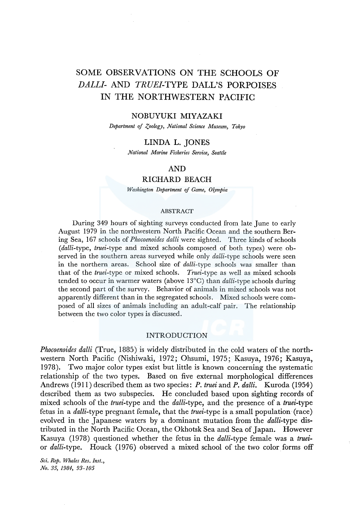# SOME OBSERVATIONS ON THE SCHOOLS OF *DALL/-* AND *TRUEI-TYPE* DALL'S PORPOISES IN THE NORTHWESTERN PACIFIC

#### NOBUYUKI MIYAZAKI

*Department of Zoology, National Science Museum, Tokyo* 

## LINDA L. JONES

*National Marine Fisheries Service, Seattle* 

# AND

# RICHARD BEACH

*Washington Department of Game, 01,ympia* 

#### ABSTRACT

During 349 hours of sighting surveys conducted from late June to early August 1979 in the northwestern North Pacific Ocean and the southern Bering Sea, 167 schools of *Phocoenoides dalli* were sighted. Three kinds of schools *(dalli-type, truei-type* and mixed schools composed of both types) were observed in the southern areas surveyed while only *dalli-type* schools were seen in the northern areas. School size of *dalli-type* schools was smaller than that of the *truei-type* or mixed schools. *Truei-type* as well as mixed schools tended to occur in warmer waters (above l3°C) than *dalli-type* schools during the second part of the survey. Behavior of animals in mixed schools was not apparently different than in the segregated schools. Mixed schools were composed of all sizes of animals including an adult-calf pair. The relationship between the two color types is discussed.

### INTRODUCTION

*Phocoenoides dalli* (True, 1885) is widely distributed in the cold waters of the northwestern North Pacific (Nishiwaki, 1972; Ohsumi, 1975; Kasuya, 1976; Kasuya, 1978). Two major color types exist but little is known concerning the systematic relationship of the two types. Based on five external morphological differences Andrews (1911) described them as two species: *P. truei* and *P. dalli.* Kuroda (1954) described them as two subspecies. He concluded based upon sighting records of mixed schools of the *truei-type* and the *dalli-type,* and the presence of a *truei-type*  fetus in a *dalli-type* pregnant female, that the *truei-type* is a small population (race) evolved in the Japanese waters by a dominant mutation from the *dalli-type* distributed in the North Pacific Ocean, the Okhotsk Sea and Sea of Japan. However Kasuya (1978) questioned whether the fetus in the *dalli-type* female was a *truei*or *dalli-type.* Houck (1976) observed a mixed school of the two color forms off

*Sci. Rep. Whales Res. Inst., No. 35, 1984, 93-105*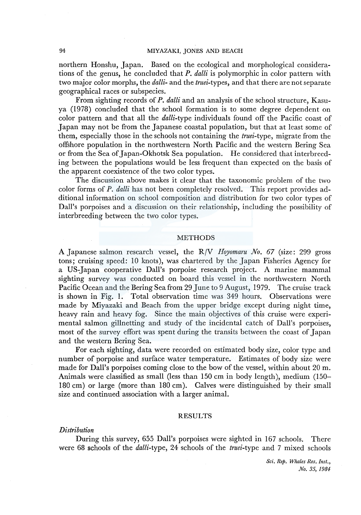northern Honshu, Japan. Based on the ecological and morphological considerations of the genus, he concluded that *P. dalli* is polymorphic in color pattern with two major color morphs, the *dalli-* and the *truei-types,* and that there are not separate geographical races or subspecies.

From sighting records of *P. dalli* and an analysis of the school structure, Kasuya (1978) concluded that the school formation is to some degree dependent on color pattern and that all the *dalli-type* individuals found off the Pacific coast of Japan may not be from the Japanese coastal population, but that at least some of them, especially those in the schools not containing the *truei-type,* migrate from the offshore population in the northwestern North Pacific and the western Bering Sea or from the Sea of Japan-Okhotsk Sea population. He considered that interbreeding between the populations would be less frequent than expected on the basis of the apparent coexistence of the two color types.

The discussion above makes it clear that the taxonomic problem of the two color forms of *P. dalli* has not been completely resolved. This report provides additional information on school composition and distribution for two color types of Dall's porpoises and a discussion on their relationship, including the possibility of interbreeding between the two color types.

# **METHODS**

A Japanese salmon research vessel, the R/V *Hoyomaru No. 67* (size: 299 gross tons; cruising speed: 10 knots), was chartered by the Japan Fisheries Agency for a US-Japan cooperative Dall's porpoise research project. A marine mammal sighting survey was conducted on board this vessel in the northwestern North Pacific Ocean and the Bering Sea from 29 June to 9 August, 1979. The cruise track is shown in Fig. 1. Total observation time was 349 hours. Observations were made by Miyazaki and Beach from the upper bridge except during night time, heavy rain and heavy fog. Since the main objectives of this cruise were experimental salmon gillnetting and study of the incidental catch of Dall's porpoises, most of the survey effort was spent during the transits between the coast of Japan and the western Bering Sea.

For each sighting, data were recorded on estimated body size, color type and number of porpoise and surface water temperature. Estimates of body size were made for Dall's porpoises coming close to the bow of the vessel, within about 20 m. Animals were classified as small (less than 150 cm in body length), medium (150- 180 cm) or large (more than 180 cm). Calves were distinguished by their small size and continued association with a larger animal.

# RESULTS

# *Distribution*

During this survey, 655 Dall's porpoises were sighted in 167 schools. There were 68 schools of the *dalli-type,* 24 schools of the *truei-type* and 7 mixed schools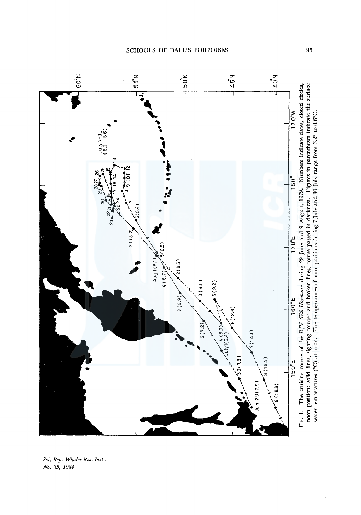SCHOOLS OF DALL'S PORPOISES



sci. Rep. Whales<br>No. 35, 1984 s Res. Inst.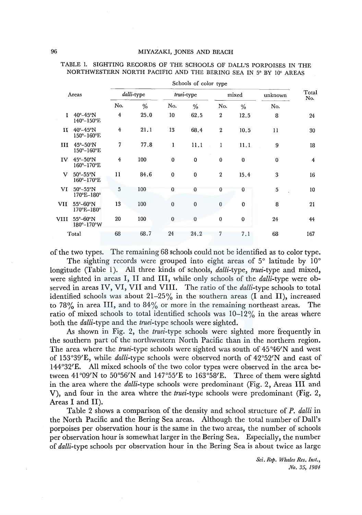|       |                                                              |                |      |              | Schools of color type |                  |             |          |                |  |
|-------|--------------------------------------------------------------|----------------|------|--------------|-----------------------|------------------|-------------|----------|----------------|--|
| Areas |                                                              | dalli-type     |      |              | truei-type            |                  | mixed       | unknown  | Total<br>No.   |  |
|       |                                                              | No.            | %    | No.          | $\%$                  | No.              | $\%$        | No.      |                |  |
| L     | $40^\circ - 45^\circ N$<br>$140^{\circ}-150^{\circ}$ E       | 4              | 25.0 | 10           | 62.5                  | 2                | 12.5        | 8        | 24             |  |
| и     | $40^{\circ} - 45^{\circ}$ N<br>150°-160°E                    | $\overline{4}$ | 21.1 | 13           | 68.4                  | $\boldsymbol{2}$ | 10.5        | 11       | 30             |  |
| ш     | $45^\circ - 50^\circ N$<br>$150^{\circ}-160^{\circ}$ E       | $\overline{7}$ | 77.8 | $\mathbf{1}$ | 11.1                  | $\mathbf{1}$     | 11.1        | 9        | 18             |  |
| IV    | $45^{\circ} - 50^{\circ}$ N<br>$160^{\circ}-170^{\circ}E$    | $\overline{4}$ | 100  | $\bf{0}$     | $\mathbf 0$           | $\bf{0}$         | $\bf{0}$    | $\bf{0}$ | $\overline{4}$ |  |
| v     | $50^\circ - 55^\circ N$<br>160°-170°E                        | 11             | 84.6 | $\mathbf 0$  | $\bf{0}$              | $\overline{2}$   | 15.4        | 3        | 16             |  |
| VI    | $50^{\circ} - 55^{\circ}$ N<br>$170^{\circ}E - 180^{\circ}$  | 5              | 100  | 0            | $\mathbf{0}$          | $\Omega$         | 0           | 5        | 10             |  |
| VII   | 55°-60°N<br>$170^{\circ}E - 180^{\circ}$                     | 13             | 100  | $\mathbf{0}$ | $\mathbf{0}$          | $\bf{0}$         | $\mathbf 0$ | 8        | 21             |  |
| VIII  | $55^{\circ} - 60^{\circ}$ N<br>$180^{\circ} - 170^{\circ}$ W | 20             | 100  | $\bf{0}$     | $\theta$              | $\bf{0}$         | $\bf{0}$    | 24       | 44             |  |
|       | Total                                                        | 68             | 68.7 | 24           | 24.2                  | 7                | 7.1         | 68       | 167            |  |

TABLE 1. SIGHTING RECORDS OF THE SCHOOLS OF DALL'S PORPOISES IN THE NORTHWESTERN NORTH PACIFIC AND THE BERING SEA IN 5° BY 10° AREAS

of the two types. The remaining 68 schools could not be identified as to color type.

The sighting records were grouped into eight areas of 5° latitude by 10° longitude (Table 1). All three kinds of schools, *dalli-type*, *truei-type* and mixed, were sighted in areas I, II and III, while only schools of the *dalli-type* were observed in areas IV, VI, VII and VIII. The ratio of the *dalli-type* schools to total identified schools was about 21-25% in the southern areas (I and II), increased to 78% in area III, and to 84% or more in the remaining northeast areas. The ratio of mixed schools to total identified schools was  $10-12\%$  in the areas where both the *dalli-type* and the *truei-type* schools were sighted.

As shown in Fig. 2, the *truei-type* schools were sighted more frequently in the southern part of the northwestern North Pacific than in the northern region. The area where the *truei-type* schools were sighted was south of 45°46'N and west of 153°39'E, while *dalli-type* schools were observed north of 42°52'N and east of  $144^{\circ}32'$  E. All mixed schools of the two color types were observed in the area between 41°09'N to 50°56'N and 147°55'E to 163°58'E. Three of them were sightd in the area where the *dalli-type* schools were predominant (Fig. 2, Areas III and V), and four in the area where the *truei-type* schools were predominant (Fig. 2, Areas I and II).

Table 2 shows a comparison of the density and school structure of *P. dalli* in the North Pacific and the Bering Sea areas. Although the total number of Dall's porpoises per observation hour is the same in the two areas, the number of schools per observation hour is somewhat larger in the Bering Sea. Especially, the number of *dalli-type* schools per observation hour in the Bering Sea is about twice as large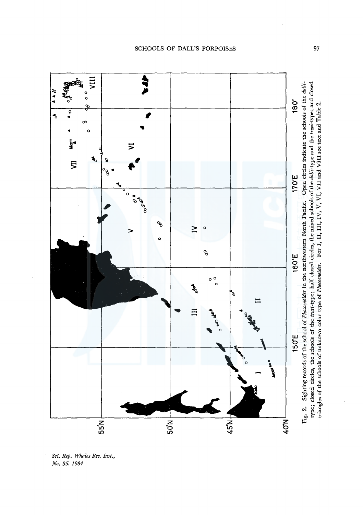$40^{\circ}$ N. **:**<br>' + **Expansive VIII**  Fig. 2. Sighting records of the school of Phocoenoides in the northwestern North Pacific. Open circles indicate the schools of the dalli-Fig. 2. Sighting records of the school of *Phocoenoides* in the northwestem North Pacific. Open circles indicate the schools of the *dallia'* **.A A** 8 0 0 180° **E 170°E 180°**   $\frac{8}{4}$ **VII We 4**  $\infty$  $^{\circ}$ **b**  $\left| \begin{array}{ccc} \frac{\partial g^2}{\partial x^2} & \frac{\partial g^2}{\partial y^2} & \frac{\partial g^2}{\partial z} & \frac{\partial g^2}{\partial x^2} & \frac{\partial g^2}{\partial x^2} & \frac{\partial g^2}{\partial x^2} & \frac{\partial g^2}{\partial y^2} & \frac{\partial g^2}{\partial x^2} & \frac{\partial g^2}{\partial x^2} & \frac{\partial g^2}{\partial x^2} & \frac{\partial g^2}{\partial x^2} & \frac{\partial g^2}{\partial x^2} & \frac{\partial g^2}{\partial x^2} & \frac{\partial g^2}{\partial x^2}$ **A**  • **VI**   $\begin{array}{c|c|c}\n\hline\n\bullet&\circ&\bullet\end{array}$ *#'*   $\overline{5}$ *<:JP* **l(J .A**  170°E  $\mathbf{A}$ .<br>.<br>. o *c9* **.A**   $\mathcal{L}$  $\geq$ o<br>B  $\bullet$ 160°E **150°E** 160°  $\overline{\phantom{a}}$  $^{\circ}$  elP or  $^{\circ}$  $\circ$   $\circ$  $\mathbb{E}$  .  $\mathbb{E}$ **45°N** *<Si*  II • **55°N** i-----------;---~ **.A .11'** 150°E **116flf" ...**   $\frac{1}{50}$ HN,57  $40^{\circ}$ N  $55^{\circ}$ N



Sc<mark>i. Rep. Whales Res. Inst.,</mark><br>No. 35, 1984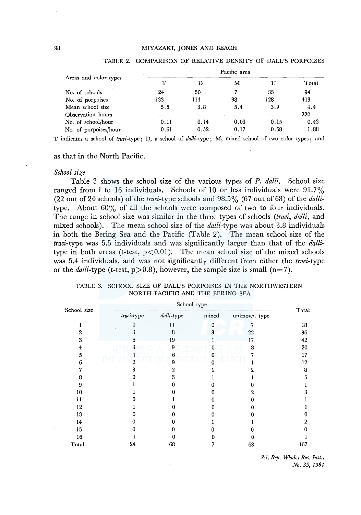|                       | $\sim$ |      | Pacific area |      |       |
|-----------------------|--------|------|--------------|------|-------|
| Areas and color types | T      | D    | м            | υ    | Total |
| No. of schools        | 24     | 30   | 7            | 33   | 94    |
| No. of porpoises      | 133    | 114  | 38           | 128  | 413   |
| Mean school size      | 5.5    | 3.8  | 5.4          | 3.9  | 4.4   |
| Observation hours     |        |      |              |      | 220   |
| No. of school/hour    | 0.11   | 0.14 | 0.03         | 0.15 | 0.43  |
| No. of porpoises/hour | 0.61   | 0.52 | 0.17         | 0.58 | 1.88  |

#### TABLE 2. COMPARISON OF RELATIVE DENSITY OF DALL'S PORPOISES

T indicates a school of *truei-type* ; D, a school of *dalli-type* ; M, mixed school of two color types; and

## as that in the North Pacific.

## *School size*

Table 3 shows the school size of the various types of *P. dalli.* School size ranged from 1 to 16 individuals. Schools of 10 or less individuals were  $91.7\%$  $(22$  out of 24 schools) of the *truei*-type schools and  $98.5\%$  (67 out of 68) of the *dalli*type. About 60% of all the schools were composed of two to four individuals. The range in school size was similar in the three types of schools *(truei, dalli,* and mixed schools). The mean school size of the *dalli-type* was about 3.8 individuals in both the Bering Sea and the Pacific (Table 2). The mean school size of the *truei-type* was 5.5 individuals and was significantly larger than that of the *dalli*type in both areas (t-test,  $p < 0.01$ ). The mean school size of the mixed schools was 5.4 individuals, and was not significantly different from either the *truei-type*  or the *dalli*-type (t-test,  $p > 0.8$ ), however, the sample size is small ( $n=7$ ).

| School size | truei-type     | dalli-type | $_{\rm mixed}$ | unknown type | Total |
|-------------|----------------|------------|----------------|--------------|-------|
|             | 0              | 11         | $\bf{0}$       | œ            | 18    |
| 2           | 3              | 8          | 3              | 22           | 36    |
| 3           | 5              | 19         |                | 17           | 42    |
| 4           | 3              | 9          | 0              | 8            | 20    |
| 5           | 4              | 6          | 0              | 7            | 17    |
| 6           | $\overline{2}$ | 9          |                |              | 12    |
| 7           | 3              | 2          |                | 9.           | 8     |
| 8           |                | 3          |                |              | 5     |
| 9           |                |            |                |              |       |
| 10          |                |            |                | 2            | 3     |
| 11          |                |            |                |              |       |
| 12          |                |            |                |              |       |
| 13          |                |            |                |              | 0     |
| 14          | 0              |            |                |              | 2     |
| 15          |                |            |                |              | 0     |
| 16          |                | o          |                |              |       |
| Total       | 24             | 68         |                | 68           | 167   |

|  |                                  |  | TABLE 3. SCHOOL SIZE OF DALL'S PORPOISES IN THE NORTHWESTERN |
|--|----------------------------------|--|--------------------------------------------------------------|
|  | NORTH PACIFIC AND THE BERING SEA |  |                                                              |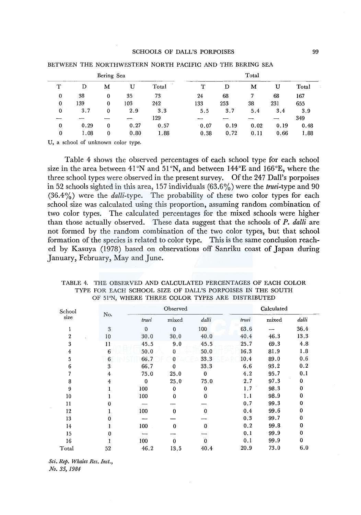#### SCHOOLS OF DALL'S PORPOISES 99

|              |      | Bering Sea     |      |       | Total |      |      |      |       |  |
|--------------|------|----------------|------|-------|-------|------|------|------|-------|--|
| T            | D    | M              | U    | Total | т     | D    | м    | U    | Total |  |
| $\bf{0}$     | 38   | $\bf{0}$       | 35   | 73    | 24    | 68   |      | 68   | 167   |  |
| $\mathbf{0}$ | 139  | 0              | 103  | 242   | 133   | 253  | 38   | 231  | 655   |  |
| $\bf{0}$     | 3.7  | $\mathbf{0}$   | 2.9  | 3.3   | 5.5   | 3.7  | 5.4  | 3.4  | 3.9   |  |
|              |      |                |      | 129   | --    |      |      |      | 349   |  |
| $\bf{0}$     | 0.29 | $\overline{0}$ | 0.27 | 0.57  | 0.07  | 0.19 | 0.02 | 0.19 | 0.48  |  |
| 0            | 1.08 | $\bf{0}$       | 0.80 | 1.88  | 0.38  | 0.72 | 0.11 | 0.66 | 1.88  |  |

#### BETWEEN THE NORTHWESTERN NORTH PACIFIC AND THE BERING SEA

U, a school of unknown color type.

Table 4 shows the observed percentages of each school type for each school size in the area between 41°N and 51°N, and between 144°E and 166°E, where the three school types were observed in the present survey. Of the 247 Dall's porpoises in 52 schools sighted in this area, 157 individuals (63.6%) were the *truei-type* and 90 (36.4%) were the *dalli-type.* The probability of these two color types for each school size was calculated using this proportion, assuming random combination of two color types. The calculated percentages for the mixed schools were higher than those actually observed. These data suggest that the schools of *P. dalli* are not formed by the random combination of the two color types, but that school formation of the species is related to color type. This is the same conclusion reached by Kasuya (1978) based on observations off Sanriku coast of Japan during January, February, May and June.

| School         |     |             | Observed     |             | Calculated |       |       |  |
|----------------|-----|-------------|--------------|-------------|------------|-------|-------|--|
| size           | No. | truei       | mixed        | dalli       | truei      | mixed | dalli |  |
| 1              | 3   | $\mathbf 0$ | $\mathbf{0}$ | 100         | 63.6       |       | 36.4  |  |
| $\overline{2}$ | 10  | 30.0        | 30.0         | 40.0        | 40.4       | 46.3  | 13.3  |  |
| 3              | 11  | 45.5        | 9.0          | 45.5        | 25.7       | 69.3  | 4.8   |  |
| 4              | 6   | 50.0        | 0            | 50.0        | 16.3       | 81.9  | 1.8   |  |
| 5              | 6   | 66.7        | $\bf{0}$     | 33.3        | 10.4       | 89.0  | 0.6   |  |
| 6              | 3   | 66.7        | 0            | 33.3        | 6.6        | 93.2  | 0.2   |  |
| 7              | 4   | 75.0        | 25.0         | $\bf{0}$    | 4, 2       | 95.7  | 0,1   |  |
| 8              | 4   | $\mathbf 0$ | 25.0         | 75.0        | 2.7        | 97.3  | 0     |  |
| 9              |     | 100         | $\mathbf{0}$ | $\bf{0}$    | 1.7        | 98.3  | 0     |  |
| 10             |     | 100         | $\mathbf{0}$ | $\mathbf 0$ | 1.1        | 98.9  | 0     |  |
| 11             |     |             |              |             | 0.7        | 99.3  | 0     |  |
| 12             |     | 100         | $\Omega$     | $\bf{0}$    | 0.4        | 99.6  | 0     |  |
| 13             |     |             |              |             | 0.3        | 99.7  | 0     |  |
| 14             |     | 100         | $\bf{0}$     | $\bf{0}$    | 0.2        | 99.8  | 0     |  |
| 15             | o   |             |              |             | 0.1        | 99.9  | 0     |  |
| 16             |     | 100         | 0            | 0           | 0.1        | 99.9  | 0     |  |
| Total          | 52  | 46.2        | 13.5         | 40.4        | 20.9       | 73.0  | 6.0   |  |

TABLE 4. THE OBSERVED AND CALCULATED PERCENTAGES OF EACH COLOR TYPE FOR EACH SCHOOL SIZE OF DALL'S PORPOISES IN THE SOUTH OF 51°N, WHERE THREE COLOR TYPES ARE DISTRIBUTED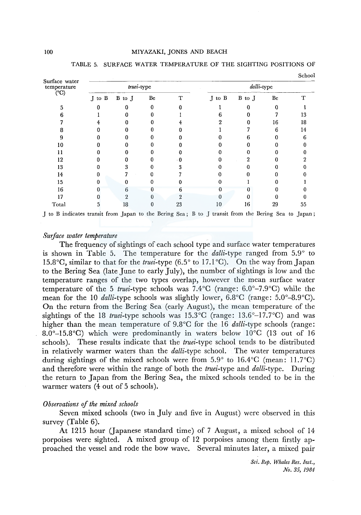| Surface water                                                                                       |        |              |            |    |        |            |    | $\sim$ $\sim$ $\sim$ $\sim$ |  |  |
|-----------------------------------------------------------------------------------------------------|--------|--------------|------------|----|--------|------------|----|-----------------------------|--|--|
| temperature                                                                                         |        |              | truei-type |    |        | dalli-type |    |                             |  |  |
| (°C)                                                                                                | J to B | B to J       | Be         | ፐ  | J to B | B to J     | Be | т                           |  |  |
|                                                                                                     |        | 0            | 0          |    |        |            |    |                             |  |  |
|                                                                                                     |        |              |            |    |        |            |    | 13                          |  |  |
|                                                                                                     |        |              |            |    |        |            | 16 | 18                          |  |  |
|                                                                                                     |        |              |            |    |        |            | 6  | 14                          |  |  |
|                                                                                                     |        |              |            |    |        |            |    | 6                           |  |  |
| 10                                                                                                  |        |              |            |    |        |            |    |                             |  |  |
| 11                                                                                                  |        |              |            |    |        |            |    |                             |  |  |
| 12                                                                                                  |        |              |            |    | 0      | 2          |    |                             |  |  |
| 13                                                                                                  |        | 3            |            |    |        |            |    |                             |  |  |
| 14                                                                                                  |        |              |            |    |        |            |    |                             |  |  |
| 15                                                                                                  |        |              |            |    |        |            |    |                             |  |  |
| 16                                                                                                  |        | 6            |            | n  |        |            |    |                             |  |  |
| 17                                                                                                  |        | $\mathbf{2}$ | 0          |    |        |            |    |                             |  |  |
| Total                                                                                               |        | 18           | 0          | 23 | 10     | 16         | 29 | 55                          |  |  |
| J to B indicates transit from Japan to the Bering Sea; B to J transit from the Bering Sea to Japan; |        |              |            |    |        |            |    |                             |  |  |

TABLE 5. SURFACE WATER TEMPERATURE OF THE SIGHTING POSITIONS OF

#### *Surface water temperature*

The frequency of sightings of each school type and surface water temperatures is shown in Table 5. The temperature for the *dalli-type* ranged from 5.9° to 15.8°C, similar to that for the *truei-type* (6.5° to 17.1°C). On the way from Japan to the Bering Sea (late June to early July), the number of sightings is low and the temperature ranges of the two types overlap, however the mean surface water temperature of the 5 *truei-type* schools was 7.4°C (range: 6.0°-7.9°C) while the mean for the 10 *dalli-type* schools was slightly lower, 6.8°C (range: 5.0°-8.9°C). On the return from the Bering Sea (early August), the mean temperature of the sightings of the 18 *truei*-type schools was  $15.3^{\circ}$ C (range:  $13.6^{\circ}$ -17.7 $^{\circ}$ C) and was higher than the mean temperature of 9.8°C for the 16 *dalli-type* schools (range: 8.0°-l5.8°C) which were predominantly in waters below l0°C (13 out of 16 schools). These results indicate that the *truei-type* school tends to be distributed in relatively warmer waters than the *dalli-type* school. The water temperatures during sightings of the mixed schools were from  $5.9^{\circ}$  to  $16.4^{\circ}$ C (mean: 11.7°C) and therefore were within the range of both the *truei-type* and *dalli-type.* During the return to Japan from the Bering Sea, the mixed schools tended to be in the warmer waters (4 out of 5 schools).

## *Observations of the mixed schools*

Seven mixed schools (two in July and five in August) were observed in this survey (Table 6).

At 1215 hour (Japanese standard time) of 7 August, a mixed school of 14 porpoises were sighted. A mixed group of 12 porpoises among them firstly approached the vessel and rode the bow wave. Several minutes later, a mixed pair

> *Sci. Rep. Whales Res. Inst., No. 35, 1984*

School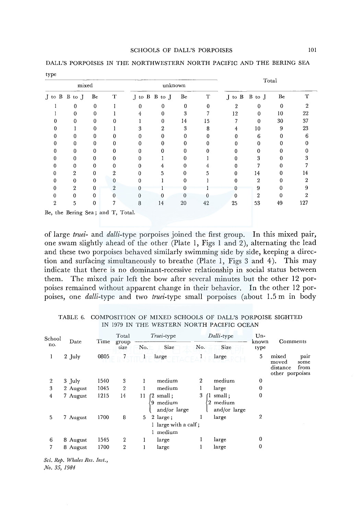| mixed          |                  |              |                |   | unknown       |          |             | Total          |                |              |     |
|----------------|------------------|--------------|----------------|---|---------------|----------|-------------|----------------|----------------|--------------|-----|
|                | J to B B to J    | Be           | T              |   | J to B B to J | Be       | $\mathbf T$ |                | J to B B to J  | Be           | т   |
|                | 0                | 0            |                | 0 | 0             | 0        | $\Omega$    | $\overline{2}$ | $\mathbf 0$    | $\mathbf{0}$ | 2   |
|                | $\theta$         | 0            |                | 4 | 0             | 3        |             | 12             | 0              | 10           | 22  |
| 0              | 0                | $\bf{0}$     | 0              |   | $\mathbf 0$   | 14       | 15          |                | $\bf{0}$       | 30           | 37  |
| 0              |                  | 0            |                | 3 | 2             | 3        | 8           | 4              | 10             | 9            | 23  |
| o              | $\theta$         | 0            | 0              | 0 | 0             | 0        | 0           | 0              | 6              | 0            | 6   |
| 0              | $\mathbf{0}$     | 0            | 0              | 0 | 0             | 0        | 0           | 0              | 0              | 0            |     |
| 0              | $\mathbf{0}$     | 0            | 0              | 0 | 0             | 0        | 0           | 0              | 0              | 0            |     |
|                | $\mathbf 0$      | 0            | 0              | 0 |               | 0        |             | 0              | 3              | 0            |     |
|                | 0                | 0            | 0              | 0 | 4             | 0        |             | 0              |                | Ω            |     |
|                | $\boldsymbol{2}$ | 0            | $\overline{2}$ | 0 | 5             | $\theta$ | 5           | $\bf{0}$       | 14             | 0            | 14  |
|                | 0                | 0            | 0              | 0 |               | 0        |             | 0              | $\mathbf{2}$   | 0            | 9   |
| n              | $\boldsymbol{2}$ | 0            | 2              |   |               | 0        |             | n              | 9              | 0            |     |
| O              | $\theta$         | 0            | 0              | 0 | 0             | 0        |             | 0              | $\overline{2}$ | 0            |     |
| $\overline{2}$ | 5                | $\mathbf{0}$ | 7              | 8 | 14            | 20       | 42          | 25             | 53             | 49           | 127 |

DALL'S PORPOISES IN THE NORTHWESTERN NORTH PACIFIC AND THE BERING SEA type

of large *truei-* and *dalli-type* porpoises joined the first group. In this mixed pair, one swam slightly ahead of the other (Plate 1, Figs 1 and 2), alternating the lead and these two porpoises behaved similarly swimming side by side, keeping a direction and surfacing simultaneously to breathe (Plate 1, Figs 3 and 4). This may indicate that there is no dominant-recessive relationship in social status between them. The mixed pair left the bow after several minutes but the other 12 porpoises remained without apparent change in their behavior. In the other 12 porpoises, one *dalli-type* and two *truei-type* small porpoises (about 1.5 m in body

| School<br>no.  | Date     | Time | Total<br>group<br>size | No.     | <i>Truei</i> -type<br>Size                              | No.            | Dalli-type<br>Size               | Un-<br>known<br>type | Comments                                                              |
|----------------|----------|------|------------------------|---------|---------------------------------------------------------|----------------|----------------------------------|----------------------|-----------------------------------------------------------------------|
| 1              | 2 July   | 0805 |                        |         | large                                                   |                | large                            | 5                    | mixed<br>pair<br>moved<br>some<br>distance<br>from<br>other porpoises |
| $\overline{2}$ | 3 July   | 1540 | 3                      |         | medium                                                  | $\overline{2}$ | medium                           | $\boldsymbol{0}$     |                                                                       |
| 3              | 2 August | 1045 | $\boldsymbol{2}$       |         | medium                                                  |                | large                            | $\bf{0}$             |                                                                       |
| 4              | 7 August | 1215 | 14                     | 11<br>9 | $(2 \text{ small :})$<br>medium<br>and/or large         | 3              | small:<br>medium<br>and/or large | $\mathbf 0$          |                                                                       |
| 5              | 7 August | 1700 | 8                      | 5.      | $2 \text{ large}$ ;<br>1 large with a calf;<br>1 medium |                | large                            | $\overline{2}$       |                                                                       |
| 6              | 8 August | 1545 | $\mathbf{2}$           |         | large                                                   |                | large                            | 0                    |                                                                       |
| 7              | 8 August | 1700 | 2                      |         | large                                                   |                | large                            | $\mathbf 0$          |                                                                       |

TABLE 6. COMPOSITION OF MIXED SCHOOLS OF DALL'S PORPOISE SIGHTED IN 1979 IN THE WESTERN NORTH PACIFIC OCEAN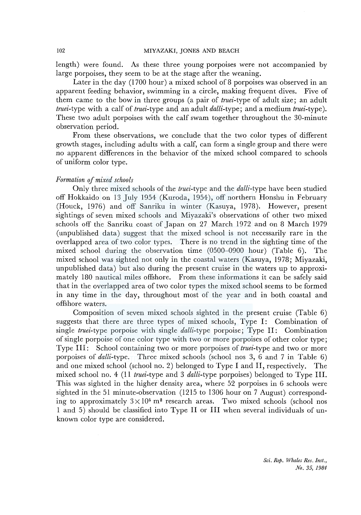length) were found. As these three young porpoises were not accompanied by large porpoises, they seem to be at the stage after the weaning.

Later in the day (1700 hour) a mixed school of 8 porpoises was observed in an apparent feeding behavior, swimming in a circle, making frequent dives. Five of them came to the bow in three groups (a pair of *truei-type* of adult size; an adult *truei-type* with a calf of *truei-type* and an adult *dalli-type;* and a medium *truei-type).*  These two adult porpoises with the calf swam together throughout the 30-minute observation period.

From these observations, we conclude that the two color types of different growth stages, including adults with a calf, can form a single group and there were no apparent differences in the behavior of the mixed school compared to schools of uniform color type.

# *Formation of mixed schools*

Only three mixed schools of the *truei-type* and the *dalli-type* have been studied off Hokkaido on 13 July 1954 (Kuroda, 1954), off northern Honshu in February (Houck, 1976) and off Sanriku in winter (Kasuya, 1978). However, present sightings of seven mixed schools and Miyazaki's observations of other two mixed schools off the Sanriku coast of Japan on 27 March 1972 and on 8 March 1979 (unpublished data) suggest that the mixed school is not necessarily rare in the overlapped area of two color types. There is no trend in the sighting time of the mixed school during the observation time (0500-0900 hour) (Table 6). The mixed school was sighted not only in the coastal waters (Kasuya, 1978; Miyazaki, unpublished data) but also during the present cruise in the waters up to approximately 180 nautical miles offshore. From these informations it can be safely said that in the overlapped area of two color types the mixed school seems to be formed in any time in the day, throughout most of the year and in both coastal and offshore waters.

Composition of seven mixed schools sighted in the present cruise (Table 6) suggests that there are three types of mixed schools, Type I: Combination of single *truei-type* porpoise with single *dalli-type* porpoise; Type II: Combination of single porpoise of one color type with two or more porpoises of other color type; Type III: School containing two or more porpoises of *truei-type* and two or more porpoises of *dalli-type.* Three mixed schools (school nos 3, 6 and 7 in Table 6) and one mixed school (school no. 2) belonged to Type I and II, respectively. The mixed school no. 4 (11 *truei-type* and 3 *dalli-type* porpoises) belonged to Type III. This was sighted in the higher density area, where 52 porpoises in 6 schools were sighted in the 51 minute-observation (1215 to 1306 hour on 7 August) corresponding to approximately  $3 \times 10^5$  m<sup>2</sup> research areas. Two mixed schools (school nos 1 and 5) should be classified into Type II or III when several individuals of unknown color type are considered.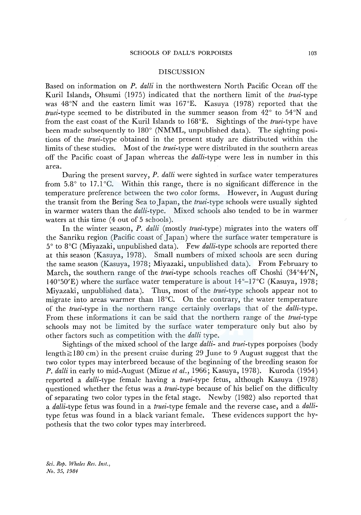#### DISCUSSION

Based on information on *P. dalli* in the northwestern North Pacific Ocean off the Kuril Islands, Ohsumi (1975) indicated that the northern limit of the *truei-type*  was 48°N and the eastern limit was 167°E. Kasuya (1978) reported that the *truei-type* seemed to be distributed in the summer season from 42° to 54°N and from the east coast of the Kuril Islands to l 68°E. Sightings of the *truei-type* have been made subsequently to 180° (NMML, unpublished data). The sighting positions of the *truei-type* obtained in the present study are distributed within the limits of these studies. Most of the *truei-type* were distributed in the southern areas off the Pacific coast of Japan whereas the *dalli-type* were less in number in this area.

During the present survey, P. *dalli* were sighted in surface water temperatures from  $5.8^{\circ}$  to 17.1 $^{\circ}$ C. Within this range, there is no significant difference in the temperature preference between the two color forms. However, in August during the transit from the Bering Sea to Japan, the *truei*-type schools were usually sighted in warmer waters than the *dalli-type.* Mixed schools also tended to be in warmer waters at this time (4 out of 5 schools).

In the winter season, *P. dalli* (mostly *truei-type)* migrates into the waters off the Sanriku region (Pacific coast of Japan) where the surface water temperature is 5° to 8°C (Miyazaki, unpublished data). Few *dalli-type* schools are reported there at this season (Kasuya, 1978). Small numbers of mixed schools are seen during the same season (Kasuya, 1978; Miyazaki, unpublished data). From February to March, the southern range of the *truei-type* schools reaches off Choshi (34°44'N, 140°50'E) where the surface water temperature is about  $14^{\circ}$ –17°C (Kasuya, 1978; Miyazaki, unpublished data). Thus, most of the *truei-type* schools appear not to migrate into areas warmer than  $18^{\circ}$ C. On the contrary, the water temperature of the *truei-type* in the northern range certainly overlaps that of the *dalli-type.*  From these informations it can be said that the northern range of the *truei-type*  schools may not be limited by the surface water temperature only but also by other factors such as competition with the *dalli* type.

Sightings of the mixed school of the large *dalli-* and *truei-types* porpoises (body length $\geq$ 180 cm) in the present cruise during 29 June to 9 August suggest that the two color types may interbreed because of the beginning of the breeding season for *P. dalli* in early to mid-August (Mizue *et al.,* 1966; Kasuya, 1978). Kuroda (1954) reported a *dalli-type* female having a *truei-type* fetus, although Kasuya (1978) questioned whether the fetus was a *truei-type* because of his belief on the difficulty of separating two color types in the fetal stage. Newby (1982) also reported that a *dalli-type* fetus was found in a *truei-type* female and the reverse case, and a *dalli*type fetus was found in a black variant female. These evidences support the hypothesis that the two color types may interbreed.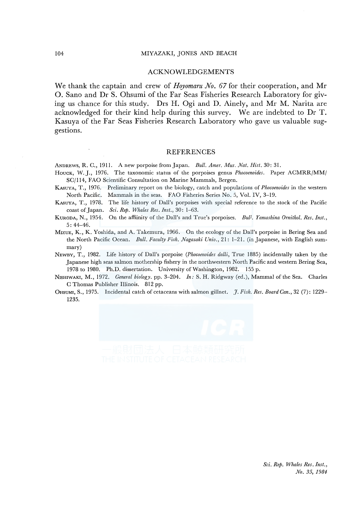#### ACKNOWLEDGEMENTS

We thank the captain and crew of *Hoyomaru No. 67* for their cooperation, and Mr 0. Sano and Dr S. Ohsumi of the Far Seas Fisheries Research Laboratory for giving us chance for this study. Drs H. Ogi and D. Ainely, and Mr M. Narita are acknowledged for their kind help during this survey. We are indebted to Dr T. Kasuya of the Far Seas Fisheries Research Laboratory who gave us valuable suggestions.

#### REFERENCES

ANDREWS, R. C., 1911. A new porpoise from Japan. *Bull. Amer. Mus. Nat. Hist.* 30: 31.

- HOUCK, W. J., 1976. The taxonomic status of the porpoises genus *Phocoenoides*. Paper ACMRR/MM/ SC/114, FAO Scientific Consultation on Marine Mammals, Bergen.
- KAsUYA, T., 1976. Preliminary report on the biology, catch and populations of *Phocoenoides* in the western North Pacific. Mammals in the seas. FAO Fisheries Series No. 5, Vol. IV, 3-19.
- KASUYA, T., 1978. The life history of Dall's porpoises with special reference to the stock of the Pacific coast of Japan. *Sci. Rep. Whales Res. Inst.,* 30: 1-63.
- KURODA, N., 1954. On the affiinity of the Dall's and True's porpoises. *Bu//. Yamashina Ornithol. Res. Inst.,*  5: 44-46.
- MrzuE, K., K. Yoshida, and A. Takemura, 1966. On the ecology of the Dall's porpoise in Bering Sea and the North Pacific Ocean. *Bull. Faculty Fish. Nagasaki Univ.,* 21: 1-21. (in Japanese, with English summary)
- NEWBY, T., 1982. Life history of Dall's porpoise *(Phocoenoides dalli,* True 1885) incidentally taken by the Japanese high seas salmon mothership fishery in the northwestern North Pacific and western Bering Sea, 1978 to 1980. Ph.D. dissertation. University of Washington, 1982. 155 p.
- NrsHIWAKI, M., 1972. *General biolog\_y.* pp. 3-204. *In:* S. H. Ridgway (ed.), Mammal of the Sea. Charles C Thomas Publisher Illinois. 812 pp.
- 0HsuMr, S., 1975. Incidental catch of cetaceans with salmon gillnet. *J. Fish. Res. Board Can.,* 32 (7): 1229- 1235.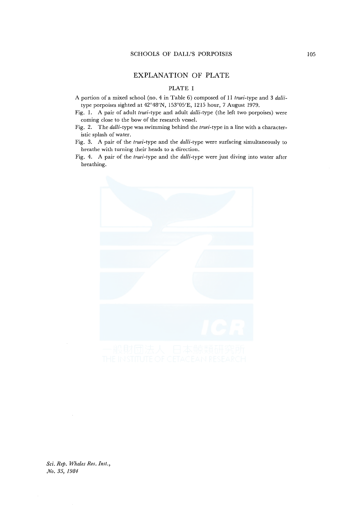# EXPLANATION OF PLATE

# PLATE I

- A portion of a mixed school (no. 4 in Table 6) composed of 11 *truei-type* and 3 *dalli*type porpoises sighted at 42°48'N, 153°05'E, 1215 hour, 7 August 1979.
- Fig. 1. A pair of adult *truei-type* and adult *dalli-type* (the left two porpoises) were coming close to the bow of the research vessel.
- Fig. 2. The *dalli-type* was swimming behind the *truei-type* in a line with a characteristic splash of water.
- Fig. 3. A pair of the *truei-type* and the *dalli-type* were surfacing simultaneously to breathe with turning their heads to a direction.
- Fig. 4. A pair of the *truei-type* and the *dalli-type* were just diving into water after breathing.